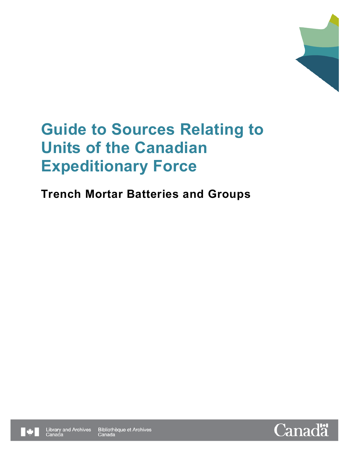

# **Trench Mortar Batteries and Groups**



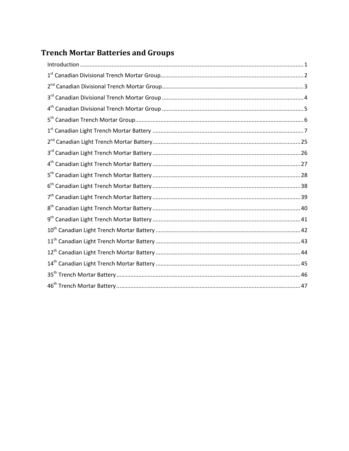# **Trench Mortar Batteries and Groups**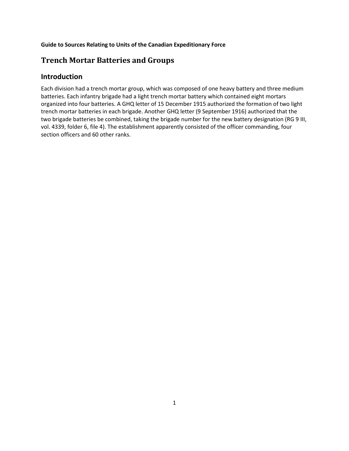# <span id="page-2-0"></span>**Trench Mortar Batteries and Groups**

# **Introduction**

Each division had a trench mortar group, which was composed of one heavy battery and three medium batteries. Each infantry brigade had a light trench mortar battery which contained eight mortars organized into four batteries. A GHQ letter of 15 December 1915 authorized the formation of two light trench mortar batteries in each brigade. Another GHQ letter (9 September 1916) authorized that the two brigade batteries be combined, taking the brigade number for the new battery designation (RG 9 III, vol. 4339, folder 6, file 4). The establishment apparently consisted of the officer commanding, four section officers and 60 other ranks.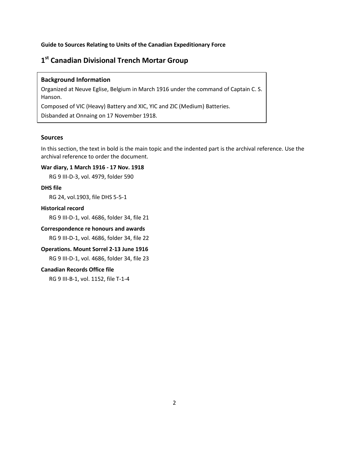# <span id="page-3-0"></span>**1st Canadian Divisional Trench Mortar Group**

# **Background Information**

Organized at Neuve Eglise, Belgium in March 1916 under the command of Captain C. S. Hanson.

Composed of VIC (Heavy) Battery and XIC, YIC and ZIC (Medium) Batteries.

Disbanded at Onnaing on 17 November 1918.

# **Sources**

In this section, the text in bold is the main topic and the indented part is the archival reference. Use the archival reference to order the document.

# **War diary, 1 March 1916 - 17 Nov. 1918**

RG 9 III-D-3, vol. 4979, folder 590

#### **DHS file**

RG 24, vol.1903, file DHS 5-5-1

# **Historical record**

RG 9 III-D-1, vol. 4686, folder 34, file 21

#### **Correspondence re honours and awards**

RG 9 III-D-1, vol. 4686, folder 34, file 22

### **Operations. Mount Sorrel 2-13 June 1916**

RG 9 III-D-1, vol. 4686, folder 34, file 23

# **Canadian Records Office file**

RG 9 III-B-1, vol. 1152, file T-1-4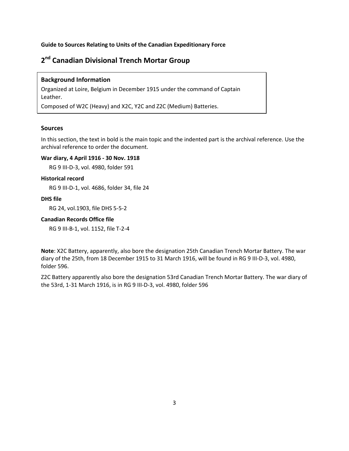# <span id="page-4-0"></span>**2nd Canadian Divisional Trench Mortar Group**

### **Background Information**

Organized at Loire, Belgium in December 1915 under the command of Captain Leather.

Composed of W2C (Heavy) and X2C, Y2C and Z2C (Medium) Batteries.

# **Sources**

In this section, the text in bold is the main topic and the indented part is the archival reference. Use the archival reference to order the document.

# **War diary, 4 April 1916 - 30 Nov. 1918**

RG 9 III-D-3, vol. 4980, folder 591

### **Historical record**

RG 9 III-D-1, vol. 4686, folder 34, file 24

### **DHS file**

RG 24, vol.1903, file DHS 5-5-2

# **Canadian Records Office file**

RG 9 III-B-1, vol. 1152, file T-2-4

**Note**: X2C Battery, apparently, also bore the designation 25th Canadian Trench Mortar Battery. The war diary of the 25th, from 18 December 1915 to 31 March 1916, will be found in RG 9 III-D-3, vol. 4980, folder 596.

Z2C Battery apparently also bore the designation 53rd Canadian Trench Mortar Battery. The war diary of the 53rd, 1-31 March 1916, is in RG 9 III-D-3, vol. 4980, folder 596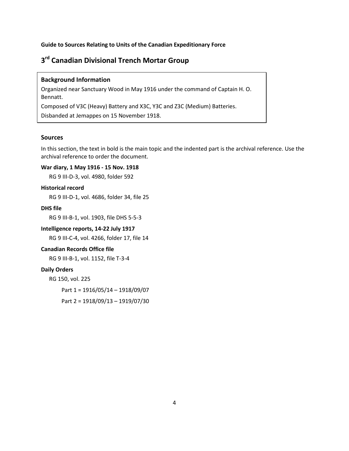# <span id="page-5-0"></span>**3rd Canadian Divisional Trench Mortar Group**

# **Background Information**

Organized near Sanctuary Wood in May 1916 under the command of Captain H. O. Bennatt.

Composed of V3C (Heavy) Battery and X3C, Y3C and Z3C (Medium) Batteries.

Disbanded at Jemappes on 15 November 1918.

# **Sources**

In this section, the text in bold is the main topic and the indented part is the archival reference. Use the archival reference to order the document.

# **War diary, 1 May 1916 - 15 Nov. 1918**

RG 9 III-D-3, vol. 4980, folder 592

#### **Historical record**

RG 9 III-D-1, vol. 4686, folder 34, file 25

# **DHS file**

RG 9 III-B-1, vol. 1903, file DHS 5-5-3

### **Intelligence reports, 14-22 July 1917**

RG 9 III-C-4, vol. 4266, folder 17, file 14

# **Canadian Records Office file**

RG 9 III-B-1, vol. 1152, file T-3-4

# **Daily Orders**

RG 150, vol. 225

Part 1 = 1916/05/14 – 1918/09/07

Part 2 = 1918/09/13 – 1919/07/30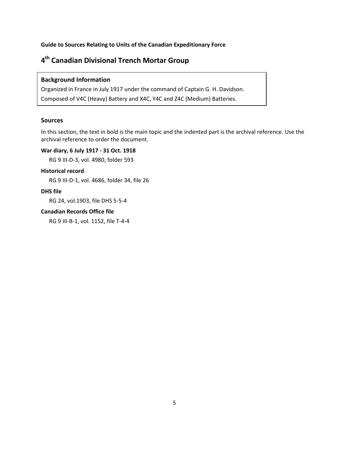# <span id="page-6-0"></span>**4th Canadian Divisional Trench Mortar Group**

### **Background Information**

Organized in France in July 1917 under the command of Captain G. H. Davidson. Composed of V4C (Heavy) Battery and X4C, Y4C and Z4C (Medium) Batteries.

#### **Sources**

In this section, the text in bold is the main topic and the indented part is the archival reference. Use the archival reference to order the document.

### **War diary, 6 July 1917 - 31 Oct. 1918**

RG 9 III-D-3, vol. 4980, folder 593

#### **Historical record**

RG 9 III-D-1, vol. 4686, folder 34, file 26

# **DHS file**

RG 24, vol.1903, file DHS 5-5-4

#### **Canadian Records Office file**

RG 9 III-B-1, vol. 1152, file T-4-4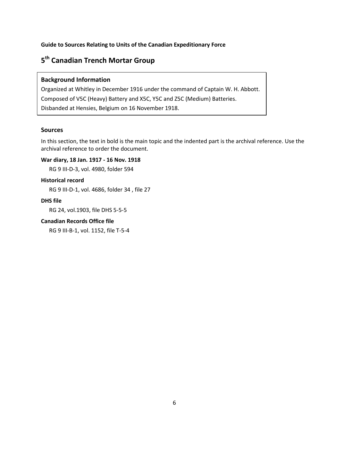# <span id="page-7-0"></span>**5th Canadian Trench Mortar Group**

# **Background Information**

Organized at Whitley in December 1916 under the command of Captain W. H. Abbott. Composed of V5C (Heavy) Battery and X5C, Y5C and Z5C (Medium) Batteries. Disbanded at Hensies, Belgium on 16 November 1918.

# **Sources**

In this section, the text in bold is the main topic and the indented part is the archival reference. Use the archival reference to order the document.

# **War diary, 18 Jan. 1917 - 16 Nov. 1918**

RG 9 III-D-3, vol. 4980, folder 594

#### **Historical record**

RG 9 III-D-1, vol. 4686, folder 34 , file 27

### **DHS file**

RG 24, vol.1903, file DHS 5-5-5

### **Canadian Records Office file**

RG 9 III-B-1, vol. 1152, file T-5-4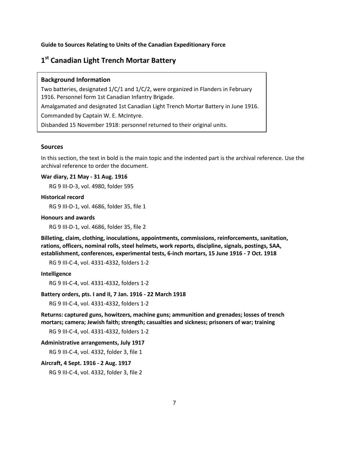# <span id="page-8-0"></span>**1st Canadian Light Trench Mortar Battery**

#### **Background Information**

Two batteries, designated 1/C/1 and 1/C/2, were organized in Flanders in February 1916. Personnel form 1st Canadian Infantry Brigade. Amalgamated and designated 1st Canadian Light Trench Mortar Battery in June 1916. Commanded by Captain W. E. McIntyre. Disbanded 15 November 1918: personnel returned to their original units.

#### **Sources**

In this section, the text in bold is the main topic and the indented part is the archival reference. Use the archival reference to order the document.

#### **War diary, 21 May - 31 Aug. 1916**

RG 9 III-D-3, vol. 4980, folder 595

### **Historical record**

RG 9 III-D-1, vol. 4686, folder 35, file 1

#### **Honours and awards**

RG 9 III-D-1, vol. 4686, folder 35, file 2

**Billeting, claim, clothing, inoculations, appointments, commissions, reinforcements, sanitation, rations, officers, nominal rolls, steel helmets, work reports, discipline, signals, postings, SAA, establishment, conferences, experimental tests, 6-inch mortars, 15 June 1916 - 7 Oct. 1918**

RG 9 III-C-4, vol. 4331-4332, folders 1-2

#### **Intelligence**

RG 9 III-C-4, vol. 4331-4332, folders 1-2

#### **Battery orders, pts. I and II, 7 Jan. 1916 - 22 March 1918**

RG 9 III-C-4, vol. 4331-4332, folders 1-2

**Returns: captured guns, howitzers, machine guns; ammunition and grenades; losses of trench mortars; camera; Jewish faith; strength; casualties and sickness; prisoners of war; training** 

RG 9 III-C-4, vol. 4331-4332, folders 1-2

#### **Administrative arrangements, July 1917**

RG 9 III-C-4, vol. 4332, folder 3, file 1

#### **Aircraft, 4 Sept. 1916 - 2 Aug. 1917**

RG 9 III-C-4, vol. 4332, folder 3, file 2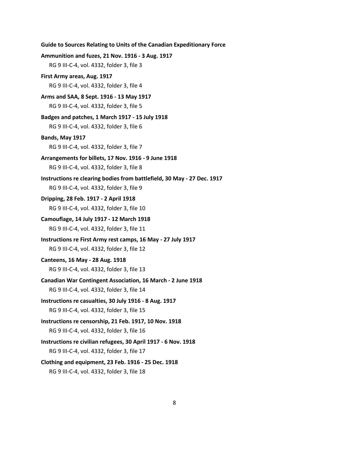```
Ammunition and fuzes, 21 Nov. 1916 - 3 Aug. 1917
   RG 9 III-C-4, vol. 4332, folder 3, file 3
First Army areas, Aug. 1917
   RG 9 III-C-4, vol. 4332, folder 3, file 4
Arms and SAA, 8 Sept. 1916 - 13 May 1917
   RG 9 III-C-4, vol. 4332, folder 3, file 5
Badges and patches, 1 March 1917 - 15 July 1918
   RG 9 III-C-4, vol. 4332, folder 3, file 6
Bands, May 1917
   RG 9 III-C-4, vol. 4332, folder 3, file 7
Arrangements for billets, 17 Nov. 1916 - 9 June 1918
   RG 9 III-C-4, vol. 4332, folder 3, file 8
Instructions re clearing bodies from battlefield, 30 May - 27 Dec. 1917
   RG 9 III-C-4, vol. 4332, folder 3, file 9
Dripping, 28 Feb. 1917 - 2 April 1918
   RG 9 III-C-4, vol. 4332, folder 3, file 10
Camouflage, 14 July 1917 - 12 March 1918
   RG 9 III-C-4, vol. 4332, folder 3, file 11
Instructions re First Army rest camps, 16 May - 27 July 1917
   RG 9 III-C-4, vol. 4332, folder 3, file 12
Canteens, 16 May - 28 Aug. 1918
   RG 9 III-C-4, vol. 4332, folder 3, file 13
Canadian War Contingent Association, 16 March - 2 June 1918
   RG 9 III-C-4, vol. 4332, folder 3, file 14
Instructions re casualties, 30 July 1916 - 8 Aug. 1917
   RG 9 III-C-4, vol. 4332, folder 3, file 15
Instructions re censorship, 21 Feb. 1917, 10 Nov. 1918
   RG 9 III-C-4, vol. 4332, folder 3, file 16
Instructions re civilian refugees, 30 April 1917 - 6 Nov. 1918
   RG 9 III-C-4, vol. 4332, folder 3, file 17
Clothing and equipment, 23 Feb. 1916 - 25 Dec. 1918
   RG 9 III-C-4, vol. 4332, folder 3, file 18
```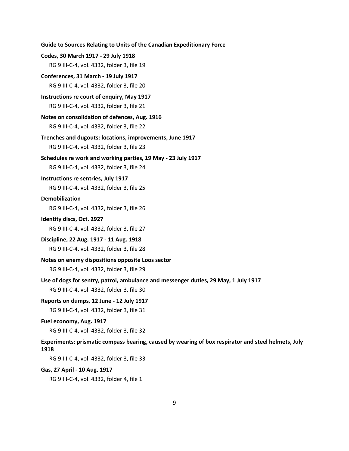**Codes, 30 March 1917 - 29 July 1918** RG 9 III-C-4, vol. 4332, folder 3, file 19 **Conferences, 31 March - 19 July 1917** RG 9 III-C-4, vol. 4332, folder 3, file 20 **Instructions re court of enquiry, May 1917** RG 9 III-C-4, vol. 4332, folder 3, file 21 **Notes on consolidation of defences, Aug. 1916** RG 9 III-C-4, vol. 4332, folder 3, file 22 **Trenches and dugouts: locations, improvements, June 1917** RG 9 III-C-4, vol. 4332, folder 3, file 23 **Schedules re work and working parties, 19 May - 23 July 1917** RG 9 III-C-4, vol. 4332, folder 3, file 24 **Instructions re sentries, July 1917** RG 9 III-C-4, vol. 4332, folder 3, file 25 **Demobilization** RG 9 III-C-4, vol. 4332, folder 3, file 26 **Identity discs, Oct. 2927** RG 9 III-C-4, vol. 4332, folder 3, file 27 **Discipline, 22 Aug. 1917 - 11 Aug. 1918** RG 9 III-C-4, vol. 4332, folder 3, file 28 **Notes on enemy dispositions opposite Loos sector** RG 9 III-C-4, vol. 4332, folder 3, file 29 **Use of dogs for sentry, patrol, ambulance and messenger duties, 29 May, 1 July 1917** RG 9 III-C-4, vol. 4332, folder 3, file 30 **Reports on dumps, 12 June - 12 July 1917** RG 9 III-C-4, vol. 4332, folder 3, file 31 **Fuel economy, Aug. 1917** RG 9 III-C-4, vol. 4332, folder 3, file 32 **Experiments: prismatic compass bearing, caused by wearing of box respirator and steel helmets, July 1918** RG 9 III-C-4, vol. 4332, folder 3, file 33 **Gas, 27 April - 10 Aug. 1917**

**Guide to Sources Relating to Units of the Canadian Expeditionary Force**

RG 9 III-C-4, vol. 4332, folder 4, file 1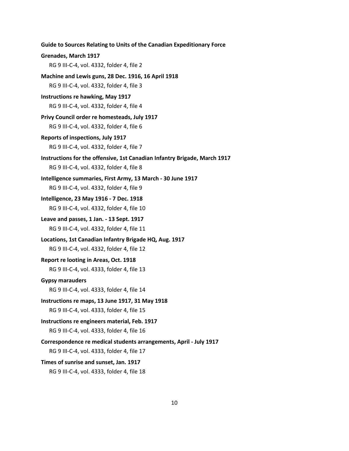**Guide to Sources Relating to Units of the Canadian Expeditionary Force Grenades, March 1917** RG 9 III-C-4, vol. 4332, folder 4, file 2 **Machine and Lewis guns, 28 Dec. 1916, 16 April 1918** RG 9 III-C-4, vol. 4332, folder 4, file 3 **Instructions re hawking, May 1917** RG 9 III-C-4, vol. 4332, folder 4, file 4 **Privy Council order re homesteads, July 1917** RG 9 III-C-4, vol. 4332, folder 4, file 6 **Reports of inspections, July 1917** RG 9 III-C-4, vol. 4332, folder 4, file 7 **Instructions for the offensive, 1st Canadian Infantry Brigade, March 1917** RG 9 III-C-4, vol. 4332, folder 4, file 8 **Intelligence summaries, First Army, 13 March - 30 June 1917** RG 9 III-C-4, vol. 4332, folder 4, file 9 **Intelligence, 23 May 1916 - 7 Dec. 1918** RG 9 III-C-4, vol. 4332, folder 4, file 10 **Leave and passes, 1 Jan. - 13 Sept. 1917** RG 9 III-C-4, vol. 4332, folder 4, file 11 **Locations, 1st Canadian Infantry Brigade HQ, Aug. 1917** RG 9 III-C-4, vol. 4332, folder 4, file 12 **Report re looting in Areas, Oct. 1918** RG 9 III-C-4, vol. 4333, folder 4, file 13 **Gypsy marauders** RG 9 III-C-4, vol. 4333, folder 4, file 14 **Instructions re maps, 13 June 1917, 31 May 1918** RG 9 III-C-4, vol. 4333, folder 4, file 15 **Instructions re engineers material, Feb. 1917** RG 9 III-C-4, vol. 4333, folder 4, file 16 **Correspondence re medical students arrangements, April - July 1917** RG 9 III-C-4, vol. 4333, folder 4, file 17 **Times of sunrise and sunset, Jan. 1917**

RG 9 III-C-4, vol. 4333, folder 4, file 18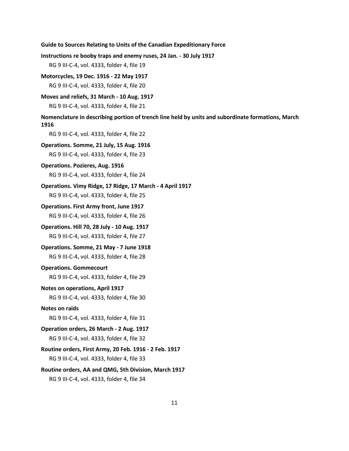```
Guide to Sources Relating to Units of the Canadian Expeditionary Force
Instructions re booby traps and enemy ruses, 24 Jan. - 30 July 1917
   RG 9 III-C-4, vol. 4333, folder 4, file 19
Motorcycles, 19 Dec. 1916 - 22 May 1917
   RG 9 III-C-4, vol. 4333, folder 4, file 20
Moves and reliefs, 31 March - 10 Aug. 1917
   RG 9 III-C-4, vol. 4333, folder 4, file 21
Nomenclature in describing portion of trench line held by units and subordinate formations, March 
1916
   RG 9 III-C-4, vol. 4333, folder 4, file 22
Operations. Somme, 21 July, 15 Aug. 1916
   RG 9 III-C-4, vol. 4333, folder 4, file 23
Operations. Pozieres, Aug. 1916
   RG 9 III-C-4, vol. 4333, folder 4, file 24
Operations. Vimy Ridge, 17 Ridge, 17 March - 4 April 1917
   RG 9 III-C-4, vol. 4333, folder 4, file 25
Operations. First Army front, June 1917
   RG 9 III-C-4, vol. 4333, folder 4, file 26
Operations. Hill 70, 28 July - 10 Aug. 1917
   RG 9 III-C-4, vol. 4333, folder 4, file 27
Operations. Somme, 21 May - 7 June 1918
   RG 9 III-C-4, vol. 4333, folder 4, file 28
Operations. Gommecourt
   RG 9 III-C-4, vol. 4333, folder 4, file 29
Notes on operations, April 1917
   RG 9 III-C-4, vol. 4333, folder 4, file 30
Notes on raids
   RG 9 III-C-4, vol. 4333, folder 4, file 31
Operation orders, 26 March - 2 Aug. 1917
   RG 9 III-C-4, vol. 4333, folder 4, file 32
Routine orders, First Army, 20 Feb. 1916 - 2 Feb. 1917
   RG 9 III-C-4, vol. 4333, folder 4, file 33
Routine orders, AA and QMG, 5th Division, March 1917
   RG 9 III-C-4, vol. 4333, folder 4, file 34
```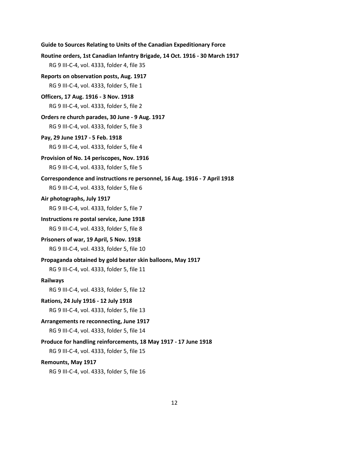```
Guide to Sources Relating to Units of the Canadian Expeditionary Force
Routine orders, 1st Canadian Infantry Brigade, 14 Oct. 1916 - 30 March 1917
   RG 9 III-C-4, vol. 4333, folder 4, file 35
Reports on observation posts, Aug. 1917
   RG 9 III-C-4, vol. 4333, folder 5, file 1
Officers, 17 Aug. 1916 - 3 Nov. 1918
   RG 9 III-C-4, vol. 4333, folder 5, file 2
Orders re church parades, 30 June - 9 Aug. 1917
   RG 9 III-C-4, vol. 4333, folder 5, file 3
Pay, 29 June 1917 - 5 Feb. 1918
   RG 9 III-C-4, vol. 4333, folder 5, file 4
Provision of No. 14 periscopes, Nov. 1916
   RG 9 III-C-4, vol. 4333, folder 5, file 5
Correspondence and instructions re personnel, 16 Aug. 1916 - 7 April 1918
   RG 9 III-C-4, vol. 4333, folder 5, file 6
Air photographs, July 1917
   RG 9 III-C-4, vol. 4333, folder 5, file 7
Instructions re postal service, June 1918
   RG 9 III-C-4, vol. 4333, folder 5, file 8
Prisoners of war, 19 April, 5 Nov. 1918
   RG 9 III-C-4, vol. 4333, folder 5, file 10 
Propaganda obtained by gold beater skin balloons, May 1917
   RG 9 III-C-4, vol. 4333, folder 5, file 11
Railways
   RG 9 III-C-4, vol. 4333, folder 5, file 12
Rations, 24 July 1916 - 12 July 1918
   RG 9 III-C-4, vol. 4333, folder 5, file 13
Arrangements re reconnecting, June 1917
   RG 9 III-C-4, vol. 4333, folder 5, file 14
Produce for handling reinforcements, 18 May 1917 - 17 June 1918
   RG 9 III-C-4, vol. 4333, folder 5, file 15
```
#### **Remounts, May 1917**

RG 9 III-C-4, vol. 4333, folder 5, file 16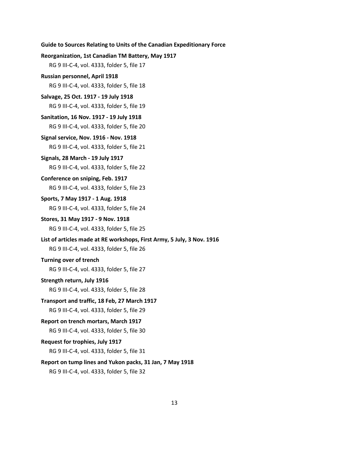# **Reorganization, 1st Canadian TM Battery, May 1917** RG 9 III-C-4, vol. 4333, folder 5, file 17 **Russian personnel, April 1918** RG 9 III-C-4, vol. 4333, folder 5, file 18 **Salvage, 25 Oct. 1917 - 19 July 1918** RG 9 III-C-4, vol. 4333, folder 5, file 19 **Sanitation, 16 Nov. 1917 - 19 July 1918** RG 9 III-C-4, vol. 4333, folder 5, file 20 **Signal service, Nov. 1916 - Nov. 1918** RG 9 III-C-4, vol. 4333, folder 5, file 21 **Signals, 28 March - 19 July 1917** RG 9 III-C-4, vol. 4333, folder 5, file 22 **Conference on sniping, Feb. 1917** RG 9 III-C-4, vol. 4333, folder 5, file 23 **Sports, 7 May 1917 - 1 Aug. 1918** RG 9 III-C-4, vol. 4333, folder 5, file 24 **Stores, 31 May 1917 - 9 Nov. 1918** RG 9 III-C-4, vol. 4333, folder 5, file 25 **List of articles made at RE workshops, First Army, 5 July, 3 Nov. 1916** RG 9 III-C-4, vol. 4333, folder 5, file 26 **Turning over of trench** RG 9 III-C-4, vol. 4333, folder 5, file 27 **Strength return, July 1916** RG 9 III-C-4, vol. 4333, folder 5, file 28 **Transport and traffic, 18 Feb, 27 March 1917** RG 9 III-C-4, vol. 4333, folder 5, file 29 **Report on trench mortars, March 1917** RG 9 III-C-4, vol. 4333, folder 5, file 30 **Request for trophies, July 1917** RG 9 III-C-4, vol. 4333, folder 5, file 31 **Report on tump lines and Yukon packs, 31 Jan, 7 May 1918** RG 9 III-C-4, vol. 4333, folder 5, file 32

**Guide to Sources Relating to Units of the Canadian Expeditionary Force**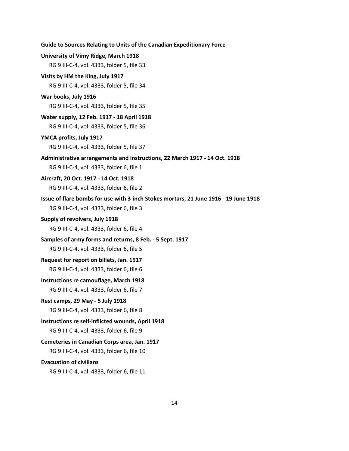| University of Vimy Ridge, March 1918<br>RG 9 III-C-4, vol. 4333, folder 5, file 33                                                |
|-----------------------------------------------------------------------------------------------------------------------------------|
| Visits by HM the King, July 1917<br>RG 9 III-C-4, vol. 4333, folder 5, file 34                                                    |
| War books, July 1916                                                                                                              |
| RG 9 III-C-4, vol. 4333, folder 5, file 35                                                                                        |
| Water supply, 12 Feb. 1917 - 18 April 1918<br>RG 9 III-C-4, vol. 4333, folder 5, file 36                                          |
| YMCA profits, July 1917<br>RG 9 III-C-4, vol. 4333, folder 5, file 37                                                             |
| Administrative arrangements and instructions, 22 March 1917 - 14 Oct. 1918<br>RG 9 III-C-4, vol. 4333, folder 6, file 1           |
| Aircraft, 20 Oct. 1917 - 14 Oct. 1918<br>RG 9 III-C-4, vol. 4333, folder 6, file 2                                                |
| Issue of flare bombs for use with 3-inch Stokes mortars, 21 June 1916 - 19 June 1918<br>RG 9 III-C-4, vol. 4333, folder 6, file 3 |
| Supply of revolvers, July 1918<br>RG 9 III-C-4, vol. 4333, folder 6, file 4                                                       |
| Samples of army forms and returns, 8 Feb. - 5 Sept. 1917<br>RG 9 III-C-4, vol. 4333, folder 6, file 5                             |
| Request for report on billets, Jan. 1917<br>RG 9 III-C-4, vol. 4333, folder 6, file 6                                             |
| Instructions re camouflage, March 1918<br>RG 9 III-C-4, vol. 4333, folder 6, file 7                                               |
| Rest camps, 29 May - 5 July 1918<br>RG 9 III-C-4, vol. 4333, folder 6, file 8                                                     |
| Instructions re self-inflicted wounds, April 1918<br>RG 9 III-C-4, vol. 4333, folder 6, file 9                                    |
| Cemeteries in Canadian Corps area, Jan. 1917<br>RG 9 III-C-4, vol. 4333, folder 6, file 10                                        |
| <b>Evacuation of civilians</b><br>RG 9 III-C-4, vol. 4333, folder 6, file 11                                                      |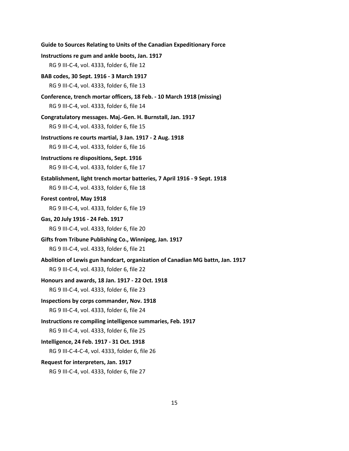| Guide to Sources Relating to Units of the Canadian Expeditionary Force                                              |
|---------------------------------------------------------------------------------------------------------------------|
| Instructions re gum and ankle boots, Jan. 1917                                                                      |
| RG 9 III-C-4, vol. 4333, folder 6, file 12                                                                          |
| BAB codes, 30 Sept. 1916 - 3 March 1917                                                                             |
| RG 9 III-C-4, vol. 4333, folder 6, file 13                                                                          |
| Conference, trench mortar officers, 18 Feb. - 10 March 1918 (missing)<br>RG 9 III-C-4, vol. 4333, folder 6, file 14 |
| Congratulatory messages. Maj.-Gen. H. Burnstall, Jan. 1917<br>RG 9 III-C-4, vol. 4333, folder 6, file 15            |
| Instructions re courts martial, 3 Jan. 1917 - 2 Aug. 1918                                                           |
| RG 9 III-C-4, vol. 4333, folder 6, file 16                                                                          |
| Instructions re dispositions, Sept. 1916                                                                            |
| RG 9 III-C-4, vol. 4333, folder 6, file 17                                                                          |
| Establishment, light trench mortar batteries, 7 April 1916 - 9 Sept. 1918                                           |
| RG 9 III-C-4, vol. 4333, folder 6, file 18                                                                          |
| Forest control, May 1918                                                                                            |
| RG 9 III-C-4, vol. 4333, folder 6, file 19                                                                          |
| Gas, 20 July 1916 - 24 Feb. 1917                                                                                    |
| RG 9 III-C-4, vol. 4333, folder 6, file 20                                                                          |
| Gifts from Tribune Publishing Co., Winnipeg, Jan. 1917                                                              |
| RG 9 III-C-4, vol. 4333, folder 6, file 21                                                                          |
| Abolition of Lewis gun handcart, organization of Canadian MG battn, Jan. 1917                                       |
| RG 9 III-C-4, vol. 4333, folder 6, file 22                                                                          |
| Honours and awards, 18 Jan. 1917 - 22 Oct. 1918                                                                     |
| RG 9 III-C-4, vol. 4333, folder 6, file 23                                                                          |
| Inspections by corps commander, Nov. 1918                                                                           |
| RG 9 III-C-4, vol. 4333, folder 6, file 24                                                                          |
| Instructions re compiling intelligence summaries, Feb. 1917                                                         |
| RG 9 III-C-4, vol. 4333, folder 6, file 25                                                                          |
| Intelligence, 24 Feb. 1917 - 31 Oct. 1918                                                                           |
| RG 9 III-C-4-C-4, vol. 4333, folder 6, file 26                                                                      |
| Request for interpreters, Jan. 1917                                                                                 |
| RG 9 III-C-4, vol. 4333, folder 6, file 27                                                                          |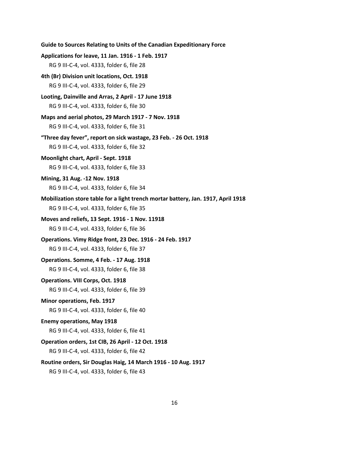```
Guide to Sources Relating to Units of the Canadian Expeditionary Force
Applications for leave, 11 Jan. 1916 - 1 Feb. 1917
   RG 9 III-C-4, vol. 4333, folder 6, file 28
4th (Br) Division unit locations, Oct. 1918
   RG 9 III-C-4, vol. 4333, folder 6, file 29
Looting, Dainville and Arras, 2 April - 17 June 1918
   RG 9 III-C-4, vol. 4333, folder 6, file 30
Maps and aerial photos, 29 March 1917 - 7 Nov. 1918
   RG 9 III-C-4, vol. 4333, folder 6, file 31
"Three day fever", report on sick wastage, 23 Feb. - 26 Oct. 1918
   RG 9 III-C-4, vol. 4333, folder 6, file 32
Moonlight chart, April - Sept. 1918
   RG 9 III-C-4, vol. 4333, folder 6, file 33
Mining, 31 Aug. -12 Nov. 1918
   RG 9 III-C-4, vol. 4333, folder 6, file 34
Mobilization store table for a light trench mortar battery, Jan. 1917, April 1918
   RG 9 III-C-4, vol. 4333, folder 6, file 35
Moves and reliefs, 13 Sept. 1916 - 1 Nov. 11918
   RG 9 III-C-4, vol. 4333, folder 6, file 36
Operations. Vimy Ridge front, 23 Dec. 1916 - 24 Feb. 1917
   RG 9 III-C-4, vol. 4333, folder 6, file 37
Operations. Somme, 4 Feb. - 17 Aug. 1918
   RG 9 III-C-4, vol. 4333, folder 6, file 38
Operations. VIII Corps, Oct. 1918
   RG 9 III-C-4, vol. 4333, folder 6, file 39
Minor operations, Feb. 1917
   RG 9 III-C-4, vol. 4333, folder 6, file 40
Enemy operations, May 1918
   RG 9 III-C-4, vol. 4333, folder 6, file 41
Operation orders, 1st CIB, 26 April - 12 Oct. 1918
   RG 9 III-C-4, vol. 4333, folder 6, file 42
Routine orders, Sir Douglas Haig, 14 March 1916 - 10 Aug. 1917
```
RG 9 III-C-4, vol. 4333, folder 6, file 43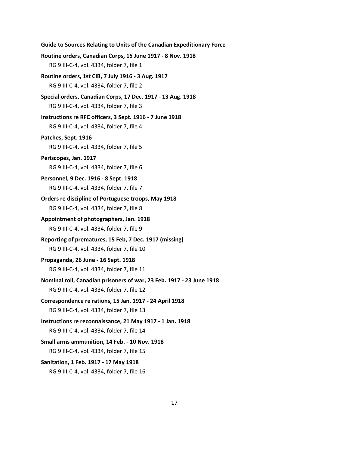```
Routine orders, Canadian Corps, 15 June 1917 - 8 Nov. 1918
   RG 9 III-C-4, vol. 4334, folder 7, file 1
Routine orders, 1st CIB, 7 July 1916 - 3 Aug. 1917
   RG 9 III-C-4, vol. 4334, folder 7, file 2
Special orders, Canadian Corps, 17 Dec. 1917 - 13 Aug. 1918
   RG 9 III-C-4, vol. 4334, folder 7, file 3
Instructions re RFC officers, 3 Sept. 1916 - 7 June 1918
   RG 9 III-C-4, vol. 4334, folder 7, file 4
Patches, Sept. 1916
   RG 9 III-C-4, vol. 4334, folder 7, file 5
Periscopes, Jan. 1917
   RG 9 III-C-4, vol. 4334, folder 7, file 6
Personnel, 9 Dec. 1916 - 8 Sept. 1918
   RG 9 III-C-4, vol. 4334, folder 7, file 7
Orders re discipline of Portuguese troops, May 1918
   RG 9 III-C-4, vol. 4334, folder 7, file 8
Appointment of photographers, Jan. 1918
   RG 9 III-C-4, vol. 4334, folder 7, file 9
Reporting of prematures, 15 Feb, 7 Dec. 1917 (missing)
   RG 9 III-C-4, vol. 4334, folder 7, file 10
Propaganda, 26 June - 16 Sept. 1918
   RG 9 III-C-4, vol. 4334, folder 7, file 11
Nominal roll, Canadian prisoners of war, 23 Feb. 1917 - 23 June 1918
   RG 9 III-C-4, vol. 4334, folder 7, file 12
Correspondence re rations, 15 Jan. 1917 - 24 April 1918
   RG 9 III-C-4, vol. 4334, folder 7, file 13
Instructions re reconnaissance, 21 May 1917 - 1 Jan. 1918
   RG 9 III-C-4, vol. 4334, folder 7, file 14
Small arms ammunition, 14 Feb. - 10 Nov. 1918
   RG 9 III-C-4, vol. 4334, folder 7, file 15
Sanitation, 1 Feb. 1917 - 17 May 1918
   RG 9 III-C-4, vol. 4334, folder 7, file 16
```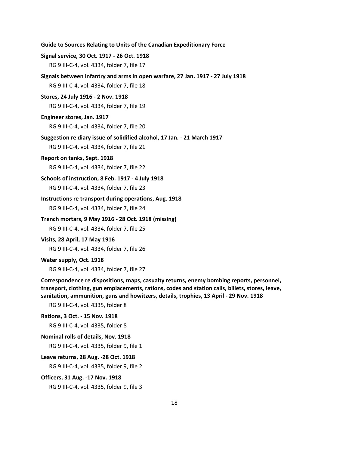| Guide to Sources Relating to Units of the Canadian Expeditionary Force |  |  |  |  |
|------------------------------------------------------------------------|--|--|--|--|
|------------------------------------------------------------------------|--|--|--|--|

#### **Signal service, 30 Oct. 1917 - 26 Oct. 1918**

RG 9 III-C-4, vol. 4334, folder 7, file 17

**Signals between infantry and arms in open warfare, 27 Jan. 1917 - 27 July 1918**

RG 9 III-C-4, vol. 4334, folder 7, file 18

**Stores, 24 July 1916 - 2 Nov. 1918**

RG 9 III-C-4, vol. 4334, folder 7, file 19

#### **Engineer stores, Jan. 1917**

RG 9 III-C-4, vol. 4334, folder 7, file 20

#### **Suggestion re diary issue of solidified alcohol, 17 Jan. - 21 March 1917**

RG 9 III-C-4, vol. 4334, folder 7, file 21

#### **Report on tanks, Sept. 1918**

RG 9 III-C-4, vol. 4334, folder 7, file 22

#### **Schools of instruction, 8 Feb. 1917 - 4 July 1918**

RG 9 III-C-4, vol. 4334, folder 7, file 23

# **Instructions re transport during operations, Aug. 1918**

RG 9 III-C-4, vol. 4334, folder 7, file 24

#### **Trench mortars, 9 May 1916 - 28 Oct. 1918 (missing)**

RG 9 III-C-4, vol. 4334, folder 7, file 25

#### **Visits, 28 April, 17 May 1916**

RG 9 III-C-4, vol. 4334, folder 7, file 26

#### **Water supply, Oct. 1918**

RG 9 III-C-4, vol. 4334, folder 7, file 27

# **Correspondence re dispositions, maps, casualty returns, enemy bombing reports, personnel, transport, clothing, gun emplacements, rations, codes and station calls, billets, stores, leave, sanitation, ammunition, guns and howitzers, details, trophies, 13 April - 29 Nov. 1918**

RG 9 III-C-4, vol. 4335, folder 8

### **Rations, 3 Oct. - 15 Nov. 1918**

RG 9 III-C-4, vol. 4335, folder 8

#### **Nominal rolls of details, Nov. 1918**

RG 9 III-C-4, vol. 4335, folder 9, file 1

#### **Leave returns, 28 Aug. -28 Oct. 1918**

RG 9 III-C-4, vol. 4335, folder 9, file 2

#### **Officers, 31 Aug. -17 Nov. 1918**

RG 9 III-C-4, vol. 4335, folder 9, file 3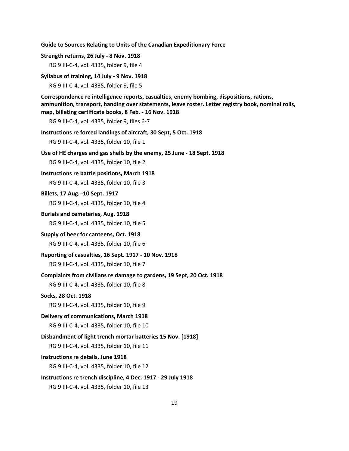#### **Strength returns, 26 July - 8 Nov. 1918**

RG 9 III-C-4, vol. 4335, folder 9, file 4

#### **Syllabus of training, 14 July - 9 Nov. 1918**

RG 9 III-C-4, vol. 4335, folder 9, file 5

**Correspondence re intelligence reports, casualties, enemy bombing, dispositions, rations, ammunition, transport, handing over statements, leave roster. Letter registry book, nominal rolls, map, billeting certificate books, 8 Feb. - 16 Nov. 1918**

RG 9 III-C-4, vol. 4335, folder 9, files 6-7

#### **Instructions re forced landings of aircraft, 30 Sept, 5 Oct. 1918**

RG 9 III-C-4, vol. 4335, folder 10, file 1

#### **Use of HE charges and gas shells by the enemy, 25 June - 18 Sept. 1918**

RG 9 III-C-4, vol. 4335, folder 10, file 2

#### **Instructions re battle positions, March 1918**

RG 9 III-C-4, vol. 4335, folder 10, file 3

### **Billets, 17 Aug. -10 Sept. 1917**

RG 9 III-C-4, vol. 4335, folder 10, file 4

#### **Burials and cemeteries, Aug. 1918**

RG 9 III-C-4, vol. 4335, folder 10, file 5

#### **Supply of beer for canteens, Oct. 1918**

RG 9 III-C-4, vol. 4335, folder 10, file 6

#### **Reporting of casualties, 16 Sept. 1917 - 10 Nov. 1918**

RG 9 III-C-4, vol. 4335, folder 10, file 7

#### **Complaints from civilians re damage to gardens, 19 Sept, 20 Oct. 1918**

RG 9 III-C-4, vol. 4335, folder 10, file 8

#### **Socks, 28 Oct. 1918**

RG 9 III-C-4, vol. 4335, folder 10, file 9

#### **Delivery of communications, March 1918**

RG 9 III-C-4, vol. 4335, folder 10, file 10

#### **Disbandment of light trench mortar batteries 15 Nov. [1918]**

RG 9 III-C-4, vol. 4335, folder 10, file 11

#### **Instructions re details, June 1918**

RG 9 III-C-4, vol. 4335, folder 10, file 12

### **Instructions re trench discipline, 4 Dec. 1917 - 29 July 1918**

RG 9 III-C-4, vol. 4335, folder 10, file 13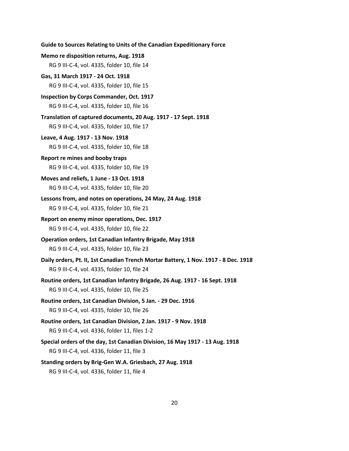| Guide to Sources Relating to Units of the Canadian Expeditionary Force                                                             |
|------------------------------------------------------------------------------------------------------------------------------------|
| Memo re disposition returns, Aug. 1918                                                                                             |
| RG 9 III-C-4, vol. 4335, folder 10, file 14                                                                                        |
| Gas, 31 March 1917 - 24 Oct. 1918                                                                                                  |
| RG 9 III-C-4, vol. 4335, folder 10, file 15                                                                                        |
| <b>Inspection by Corps Commander, Oct. 1917</b>                                                                                    |
| RG 9 III-C-4, vol. 4335, folder 10, file 16                                                                                        |
| Translation of captured documents, 20 Aug. 1917 - 17 Sept. 1918<br>RG 9 III-C-4, vol. 4335, folder 10, file 17                     |
| Leave, 4 Aug. 1917 - 13 Nov. 1918                                                                                                  |
| RG 9 III-C-4, vol. 4335, folder 10, file 18                                                                                        |
| Report re mines and booby traps                                                                                                    |
| RG 9 III-C-4, vol. 4335, folder 10, file 19                                                                                        |
| Moves and reliefs, 1 June - 13 Oct. 1918                                                                                           |
| RG 9 III-C-4, vol. 4335, folder 10, file 20                                                                                        |
| Lessons from, and notes on operations, 24 May, 24 Aug. 1918                                                                        |
| RG 9 III-C-4, vol. 4335, folder 10, file 21                                                                                        |
| Report on enemy minor operations, Dec. 1917                                                                                        |
| RG 9 III-C-4, vol. 4335, folder 10, file 22                                                                                        |
| Operation orders, 1st Canadian Infantry Brigade, May 1918                                                                          |
| RG 9 III-C-4, vol. 4335, folder 10, file 23                                                                                        |
| Daily orders, Pt. II, 1st Canadian Trench Mortar Battery, 1 Nov. 1917 - 8 Dec. 1918<br>RG 9 III-C-4, vol. 4335, folder 10, file 24 |
| Routine orders, 1st Canadian Infantry Brigade, 26 Aug. 1917 - 16 Sept. 1918                                                        |
| RG 9 III-C-4, vol. 4335, folder 10, file 25                                                                                        |
| Routine orders, 1st Canadian Division, 5 Jan. - 29 Dec. 1916                                                                       |
| RG 9 III-C-4, vol. 4335, folder 10, file 26                                                                                        |
| Routine orders, 1st Canadian Division, 2 Jan. 1917 - 9 Nov. 1918                                                                   |
| RG 9 III-C-4, vol. 4336, folder 11, files 1-2                                                                                      |
| Special orders of the day, 1st Canadian Division, 16 May 1917 - 13 Aug. 1918                                                       |
| RG 9 III-C-4, vol. 4336, folder 11, file 3                                                                                         |
| Standing orders by Brig-Gen W.A. Griesbach, 27 Aug. 1918                                                                           |
| RG 9 III-C-4, vol. 4336, folder 11, file 4                                                                                         |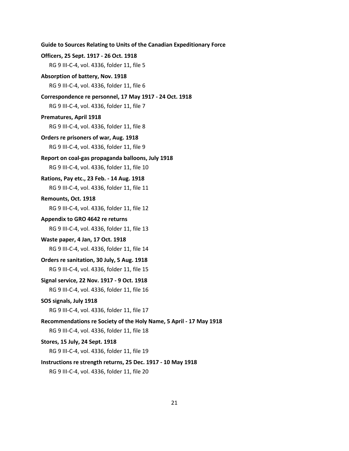```
Officers, 25 Sept. 1917 - 26 Oct. 1918
   RG 9 III-C-4, vol. 4336, folder 11, file 5
Absorption of battery, Nov. 1918
   RG 9 III-C-4, vol. 4336, folder 11, file 6
Correspondence re personnel, 17 May 1917 - 24 Oct. 1918
   RG 9 III-C-4, vol. 4336, folder 11, file 7
Prematures, April 1918
   RG 9 III-C-4, vol. 4336, folder 11, file 8
Orders re prisoners of war, Aug. 1918
   RG 9 III-C-4, vol. 4336, folder 11, file 9
Report on coal-gas propaganda balloons, July 1918
   RG 9 III-C-4, vol. 4336, folder 11, file 10
Rations, Pay etc., 23 Feb. - 14 Aug. 1918
   RG 9 III-C-4, vol. 4336, folder 11, file 11
Remounts, Oct. 1918
   RG 9 III-C-4, vol. 4336, folder 11, file 12
Appendix to GRO 4642 re returns
   RG 9 III-C-4, vol. 4336, folder 11, file 13
Waste paper, 4 Jan, 17 Oct. 1918
   RG 9 III-C-4, vol. 4336, folder 11, file 14
Orders re sanitation, 30 July, 5 Aug. 1918
   RG 9 III-C-4, vol. 4336, folder 11, file 15
Signal service, 22 Nov. 1917 - 9 Oct. 1918
   RG 9 III-C-4, vol. 4336, folder 11, file 16
SOS signals, July 1918
   RG 9 III-C-4, vol. 4336, folder 11, file 17
Recommendations re Society of the Holy Name, 5 April - 17 May 1918
   RG 9 III-C-4, vol. 4336, folder 11, file 18
Stores, 15 July, 24 Sept. 1918
   RG 9 III-C-4, vol. 4336, folder 11, file 19
Instructions re strength returns, 25 Dec. 1917 - 10 May 1918
   RG 9 III-C-4, vol. 4336, folder 11, file 20
```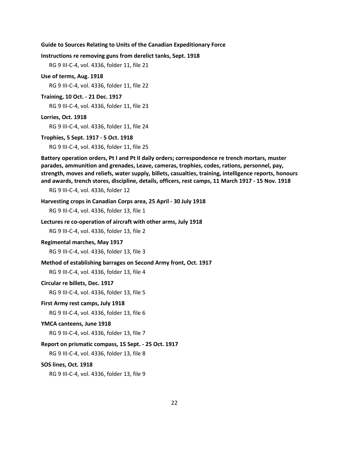**Instructions re removing guns from derelict tanks, Sept. 1918**

RG 9 III-C-4, vol. 4336, folder 11, file 21

**Use of terms, Aug. 1918**

RG 9 III-C-4, vol. 4336, folder 11, file 22

**Training, 10 Oct. - 21 Dec. 1917**

RG 9 III-C-4, vol. 4336, folder 11, file 23

#### **Lorries, Oct. 1918**

RG 9 III-C-4, vol. 4336, folder 11, file 24

#### **Trophies, 5 Sept. 1917 - 5 Oct. 1918**

RG 9 III-C-4, vol. 4336, folder 11, file 25

**Battery operation orders, Pt I and Pt II daily orders; correspondence re trench mortars, muster parades, ammunition and grenades, Leave, cameras, trophies, codes, rations, personnel, pay, strength, moves and reliefs, water supply, billets, casualties, training, intelligence reports, honours and awards, trench stores, discipline, details, officers, rest camps, 11 March 1917 - 15 Nov. 1918**

RG 9 III-C-4, vol. 4336, folder 12

#### **Harvesting crops in Canadian Corps area, 25 April - 30 July 1918**

RG 9 III-C-4, vol. 4336, folder 13, file 1

### **Lectures re co-operation of aircraft with other arms, July 1918**

RG 9 III-C-4, vol. 4336, folder 13, file 2

#### **Regimental marches, May 1917**

RG 9 III-C-4, vol. 4336, folder 13, file 3

### **Method of establishing barrages on Second Army front, Oct. 1917**

RG 9 III-C-4, vol. 4336, folder 13, file 4

#### **Circular re billets, Dec. 1917**

RG 9 III-C-4, vol. 4336, folder 13, file 5

#### **First Army rest camps, July 1918**

RG 9 III-C-4, vol. 4336, folder 13, file 6

#### **YMCA canteens, June 1918**

RG 9 III-C-4, vol. 4336, folder 13, file 7

### **Report on prismatic compass, 15 Sept. - 25 Oct. 1917**

RG 9 III-C-4, vol. 4336, folder 13, file 8

#### **SOS lines, Oct. 1918**

RG 9 III-C-4, vol. 4336, folder 13, file 9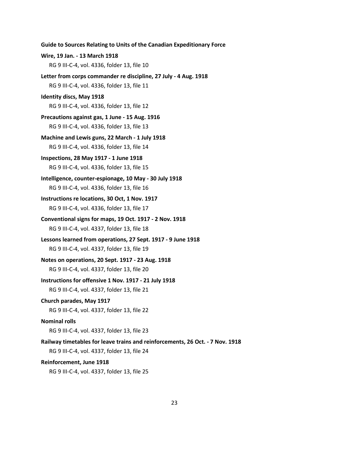**Wire, 19 Jan. - 13 March 1918** RG 9 III-C-4, vol. 4336, folder 13, file 10 **Letter from corps commander re discipline, 27 July - 4 Aug. 1918** RG 9 III-C-4, vol. 4336, folder 13, file 11 **Identity discs, May 1918** RG 9 III-C-4, vol. 4336, folder 13, file 12 **Precautions against gas, 1 June - 15 Aug. 1916** RG 9 III-C-4, vol. 4336, folder 13, file 13 **Machine and Lewis guns, 22 March - 1 July 1918** RG 9 III-C-4, vol. 4336, folder 13, file 14 **Inspections, 28 May 1917 - 1 June 1918** RG 9 III-C-4, vol. 4336, folder 13, file 15 **Intelligence, counter-espionage, 10 May - 30 July 1918** RG 9 III-C-4, vol. 4336, folder 13, file 16 **Instructions re locations, 30 Oct, 1 Nov. 1917** RG 9 III-C-4, vol. 4336, folder 13, file 17 **Conventional signs for maps, 19 Oct. 1917 - 2 Nov. 1918** RG 9 III-C-4, vol. 4337, folder 13, file 18 **Lessons learned from operations, 27 Sept. 1917 - 9 June 1918** RG 9 III-C-4, vol. 4337, folder 13, file 19 **Notes on operations, 20 Sept. 1917 - 23 Aug. 1918** RG 9 III-C-4, vol. 4337, folder 13, file 20 **Instructions for offensive 1 Nov. 1917 - 21 July 1918** RG 9 III-C-4, vol. 4337, folder 13, file 21 **Church parades, May 1917** RG 9 III-C-4, vol. 4337, folder 13, file 22 **Nominal rolls** RG 9 III-C-4, vol. 4337, folder 13, file 23 **Railway timetables for leave trains and reinforcements, 26 Oct. - 7 Nov. 1918** RG 9 III-C-4, vol. 4337, folder 13, file 24 **Reinforcement, June 1918**

**Guide to Sources Relating to Units of the Canadian Expeditionary Force**

RG 9 III-C-4, vol. 4337, folder 13, file 25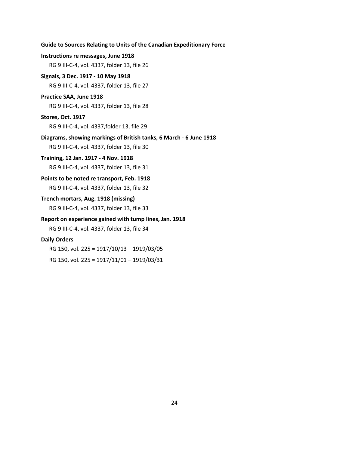# **Guide to Sources Relating to Units of the Canadian Expeditionary Force Instructions re messages, June 1918** RG 9 III-C-4, vol. 4337, folder 13, file 26 **Signals, 3 Dec. 1917 - 10 May 1918** RG 9 III-C-4, vol. 4337, folder 13, file 27 **Practice SAA, June 1918** RG 9 III-C-4, vol. 4337, folder 13, file 28 **Stores, Oct. 1917** RG 9 III-C-4, vol. 4337,folder 13, file 29 **Diagrams, showing markings of British tanks, 6 March - 6 June 1918** RG 9 III-C-4, vol. 4337, folder 13, file 30 **Training, 12 Jan. 1917 - 4 Nov. 1918** RG 9 III-C-4, vol. 4337, folder 13, file 31 **Points to be noted re transport, Feb. 1918** RG 9 III-C-4, vol. 4337, folder 13, file 32 **Trench mortars, Aug. 1918 (missing)** RG 9 III-C-4, vol. 4337, folder 13, file 33 **Report on experience gained with tump lines, Jan. 1918** RG 9 III-C-4, vol. 4337, folder 13, file 34 **Daily Orders** RG 150, vol. 225 = 1917/10/13 – 1919/03/05 RG 150, vol. 225 = 1917/11/01 – 1919/03/31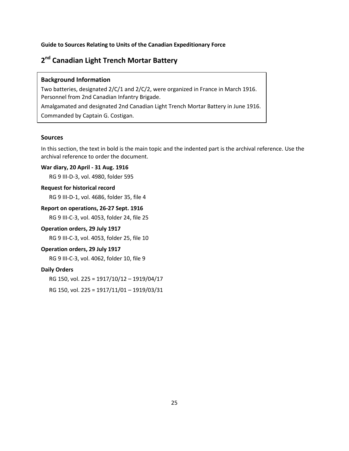# <span id="page-26-0"></span>**2nd Canadian Light Trench Mortar Battery**

#### **Background Information**

Two batteries, designated 2/C/1 and 2/C/2, were organized in France in March 1916. Personnel from 2nd Canadian Infantry Brigade. Amalgamated and designated 2nd Canadian Light Trench Mortar Battery in June 1916. Commanded by Captain G. Costigan.

# **Sources**

In this section, the text in bold is the main topic and the indented part is the archival reference. Use the archival reference to order the document.

# **War diary, 20 April - 31 Aug. 1916**

RG 9 III-D-3, vol. 4980, folder 595

#### **Request for historical record**

RG 9 III-D-1, vol. 4686, folder 35, file 4

### **Report on operations, 26-27 Sept. 1916**

RG 9 III-C-3, vol. 4053, folder 24, file 25

# **Operation orders, 29 July 1917**

RG 9 III-C-3, vol. 4053, folder 25, file 10

# **Operation orders, 29 July 1917**

RG 9 III-C-3, vol. 4062, folder 10, file 9

# **Daily Orders**

RG 150, vol. 225 = 1917/10/12 – 1919/04/17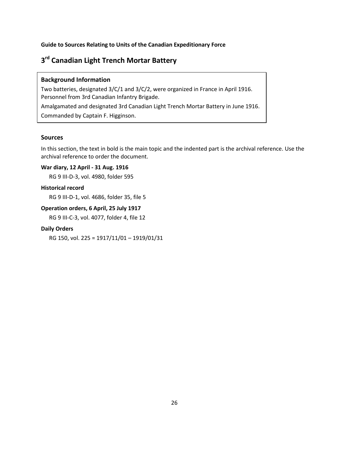# <span id="page-27-0"></span>**3rd Canadian Light Trench Mortar Battery**

# **Background Information**

Two batteries, designated 3/C/1 and 3/C/2, were organized in France in April 1916. Personnel from 3rd Canadian Infantry Brigade. Amalgamated and designated 3rd Canadian Light Trench Mortar Battery in June 1916. Commanded by Captain F. Higginson.

# **Sources**

In this section, the text in bold is the main topic and the indented part is the archival reference. Use the archival reference to order the document.

# **War diary, 12 April - 31 Aug. 1916**

RG 9 III-D-3, vol. 4980, folder 595

#### **Historical record**

RG 9 III-D-1, vol. 4686, folder 35, file 5

# **Operation orders, 6 April, 25 July 1917**

RG 9 III-C-3, vol. 4077, folder 4, file 12

# **Daily Orders**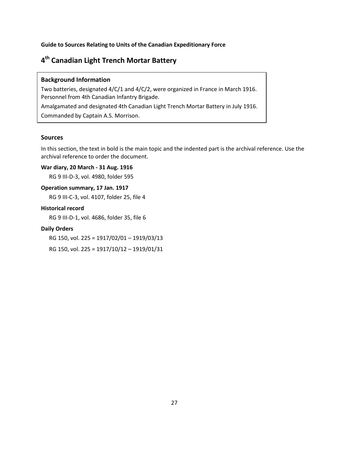# <span id="page-28-0"></span>**4th Canadian Light Trench Mortar Battery**

### **Background Information**

Two batteries, designated 4/C/1 and 4/C/2, were organized in France in March 1916. Personnel from 4th Canadian Infantry Brigade. Amalgamated and designated 4th Canadian Light Trench Mortar Battery in July 1916.

Commanded by Captain A.S. Morrison.

# **Sources**

In this section, the text in bold is the main topic and the indented part is the archival reference. Use the archival reference to order the document.

### **War diary, 20 March - 31 Aug. 1916**

RG 9 III-D-3, vol. 4980, folder 595

### **Operation summary, 17 Jan. 1917**

RG 9 III-C-3, vol. 4107, folder 25, file 4

# **Historical record**

RG 9 III-D-1, vol. 4686, folder 35, file 6

### **Daily Orders**

RG 150, vol. 225 = 1917/02/01 – 1919/03/13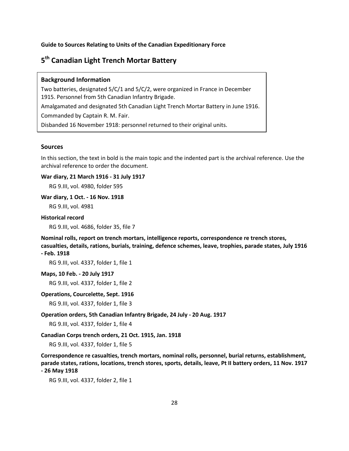# <span id="page-29-0"></span>**5th Canadian Light Trench Mortar Battery**

#### **Background Information**

Two batteries, designated 5/C/1 and 5/C/2, were organized in France in December 1915. Personnel from 5th Canadian Infantry Brigade. Amalgamated and designated 5th Canadian Light Trench Mortar Battery in June 1916. Commanded by Captain R. M. Fair. Disbanded 16 November 1918: personnel returned to their original units.

#### **Sources**

In this section, the text in bold is the main topic and the indented part is the archival reference. Use the archival reference to order the document.

#### **War diary, 21 March 1916 - 31 July 1917**

RG 9.III, vol. 4980, folder 595

#### **War diary, 1 Oct. - 16 Nov. 1918**

RG 9.III, vol. 4981

#### **Historical record**

RG 9.III, vol. 4686, folder 35, file 7

**Nominal rolls, report on trench mortars, intelligence reports, correspondence re trench stores, casualties, details, rations, burials, training, defence schemes, leave, trophies, parade states, July 1916 - Feb. 1918**

RG 9.III, vol. 4337, folder 1, file 1

**Maps, 10 Feb. - 20 July 1917**

RG 9.III, vol. 4337, folder 1, file 2

#### **Operations, Courcelette, Sept. 1916**

RG 9.III, vol. 4337, folder 1, file 3

#### **Operation orders, 5th Canadian Infantry Brigade, 24 July - 20 Aug. 1917**

RG 9.III, vol. 4337, folder 1, file 4

#### **Canadian Corps trench orders, 21 Oct. 1915, Jan. 1918**

RG 9.III, vol. 4337, folder 1, file 5

**Correspondence re casualties, trench mortars, nominal rolls, personnel, burial returns, establishment, parade states, rations, locations, trench stores, sports, details, leave, Pt II battery orders, 11 Nov. 1917 - 26 May 1918**

RG 9.III, vol. 4337, folder 2, file 1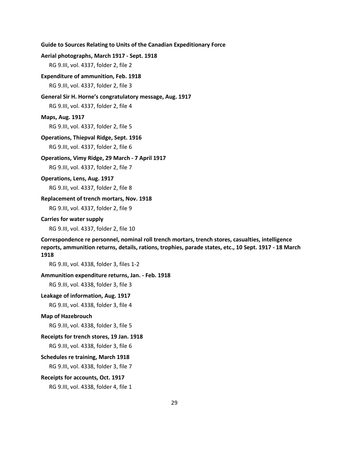#### **Aerial photographs, March 1917 - Sept. 1918**

RG 9.III, vol. 4337, folder 2, file 2

#### **Expenditure of ammunition, Feb. 1918**

RG 9.III, vol. 4337, folder 2, file 3

# **General Sir H. Horne's congratulatory message, Aug. 1917**

RG 9.III, vol. 4337, folder 2, file 4

#### **Maps, Aug. 1917**

RG 9.III, vol. 4337, folder 2, file 5

#### **Operations, Thiepval Ridge, Sept. 1916**

RG 9.III, vol. 4337, folder 2, file 6

#### **Operations, Vimy Ridge, 29 March - 7 April 1917**

RG 9.III, vol. 4337, folder 2, file 7

#### **Operations, Lens, Aug. 1917**

RG 9.III, vol. 4337, folder 2, file 8

### **Replacement of trench mortars, Nov. 1918**

RG 9.III, vol. 4337, folder 2, file 9

#### **Carries for water supply**

RG 9.III, vol. 4337, folder 2, file 10

**Correspondence re personnel, nominal roll trench mortars, trench stores, casualties, intelligence reports, ammunition returns, details, rations, trophies, parade states, etc., 10 Sept. 1917 - 18 March 1918**

RG 9.III, vol. 4338, folder 3, files 1-2

#### **Ammunition expenditure returns, Jan. - Feb. 1918**

RG 9.III, vol. 4338, folder 3, file 3

#### **Leakage of information, Aug. 1917**

RG 9.III, vol. 4338, folder 3, file 4

#### **Map of Hazebrouch**

RG 9.III, vol. 4338, folder 3, file 5

#### **Receipts for trench stores, 19 Jan. 1918**

RG 9.III, vol. 4338, folder 3, file 6

#### **Schedules re training, March 1918**

RG 9.III, vol. 4338, folder 3, file 7

#### **Receipts for accounts, Oct. 1917**

RG 9.III, vol. 4338, folder 4, file 1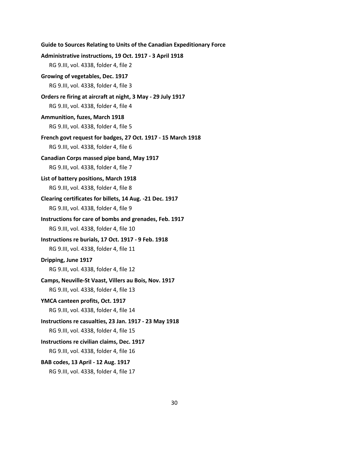```
Guide to Sources Relating to Units of the Canadian Expeditionary Force
Administrative instructions, 19 Oct. 1917 - 3 April 1918
   RG 9.III, vol. 4338, folder 4, file 2
Growing of vegetables, Dec. 1917
   RG 9.III, vol. 4338, folder 4, file 3
Orders re firing at aircraft at night, 3 May - 29 July 1917
   RG 9.III, vol. 4338, folder 4, file 4
Ammunition, fuzes, March 1918
   RG 9.III, vol. 4338, folder 4, file 5
French govt request for badges, 27 Oct. 1917 - 15 March 1918
   RG 9.III, vol. 4338, folder 4, file 6
Canadian Corps massed pipe band, May 1917
   RG 9.III, vol. 4338, folder 4, file 7
List of battery positions, March 1918
   RG 9.III, vol. 4338, folder 4, file 8
Clearing certificates for billets, 14 Aug. -21 Dec. 1917
   RG 9.III, vol. 4338, folder 4, file 9
Instructions for care of bombs and grenades, Feb. 1917
   RG 9.III, vol. 4338, folder 4, file 10
Instructions re burials, 17 Oct. 1917 - 9 Feb. 1918
   RG 9.III, vol. 4338, folder 4, file 11
Dripping, June 1917
   RG 9.III, vol. 4338, folder 4, file 12
Camps, Neuville-St Vaast, Villers au Bois, Nov. 1917
   RG 9.III, vol. 4338, folder 4, file 13
YMCA canteen profits, Oct. 1917
   RG 9.III, vol. 4338, folder 4, file 14
Instructions re casualties, 23 Jan. 1917 - 23 May 1918
   RG 9.III, vol. 4338, folder 4, file 15
Instructions re civilian claims, Dec. 1917
   RG 9.III, vol. 4338, folder 4, file 16
BAB codes, 13 April - 12 Aug. 1917
   RG 9.III, vol. 4338, folder 4, file 17
```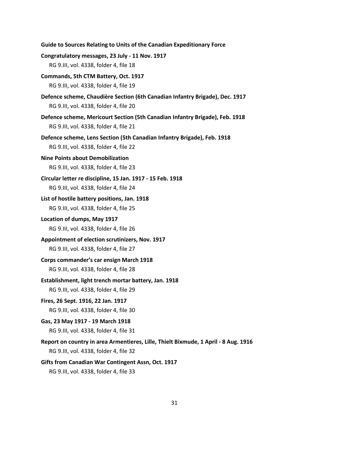| Guide to Sources Relating to Units of the Canadian Expeditionary Force                                                        |
|-------------------------------------------------------------------------------------------------------------------------------|
| Congratulatory messages, 23 July - 11 Nov. 1917                                                                               |
| RG 9.III, vol. 4338, folder 4, file 18                                                                                        |
| Commands, 5th CTM Battery, Oct. 1917                                                                                          |
| RG 9.III, vol. 4338, folder 4, file 19                                                                                        |
| Defence scheme, Chaudière Section (6th Canadian Infantry Brigade), Dec. 1917<br>RG 9.III, vol. 4338, folder 4, file 20        |
| Defence scheme, Mericourt Section (5th Canadian Infantry Brigade), Feb. 1918<br>RG 9.III, vol. 4338, folder 4, file 21        |
| Defence scheme, Lens Section (5th Canadian Infantry Brigade), Feb. 1918<br>RG 9.III, vol. 4338, folder 4, file 22             |
| <b>Nine Points about Demobilization</b>                                                                                       |
| RG 9.III, vol. 4338, folder 4, file 23                                                                                        |
| Circular letter re discipline, 15 Jan. 1917 - 15 Feb. 1918                                                                    |
| RG 9.III, vol. 4338, folder 4, file 24                                                                                        |
| List of hostile battery positions, Jan. 1918                                                                                  |
| RG 9.III, vol. 4338, folder 4, file 25                                                                                        |
| Location of dumps, May 1917                                                                                                   |
| RG 9.III, vol. 4338, folder 4, file 26                                                                                        |
| Appointment of election scrutinizers, Nov. 1917                                                                               |
| RG 9.III, vol. 4338, folder 4, file 27                                                                                        |
| Corps commander's car ensign March 1918                                                                                       |
| RG 9.III, vol. 4338, folder 4, file 28                                                                                        |
| Establishment, light trench mortar battery, Jan. 1918                                                                         |
| RG 9.III, vol. 4338, folder 4, file 29                                                                                        |
| Fires, 26 Sept. 1916, 22 Jan. 1917                                                                                            |
| RG 9.III, vol. 4338, folder 4, file 30                                                                                        |
| Gas, 23 May 1917 - 19 March 1918                                                                                              |
| RG 9.III, vol. 4338, folder 4, file 31                                                                                        |
| Report on country in area Armentieres, Lille, Thielt Bixmude, 1 April - 8 Aug. 1916<br>RG 9.III, vol. 4338, folder 4, file 32 |
| Gifts from Canadian War Contingent Assn, Oct. 1917                                                                            |
| RG 9.III, vol. 4338, folder 4, file 33                                                                                        |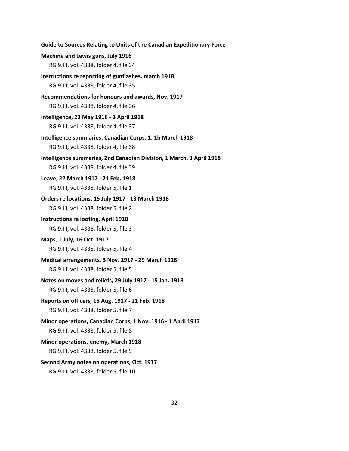| Guide to Sources Relating to Units of the Canadian Expeditionary Force |
|------------------------------------------------------------------------|
| Machine and Lewis guns, July 1916                                      |
| RG 9.III, vol. 4338, folder 4, file 34                                 |
| Instructions re reporting of gunflashes, march 1918                    |
| RG 9.III, vol. 4338, folder 4, file 35                                 |
| Recommendations for honours and awards, Nov. 1917                      |
| RG 9.III, vol. 4338, folder 4, file 36                                 |
| Intelligence, 23 May 1916 - 3 April 1918                               |
| RG 9.III, vol. 4338, folder 4, file 37                                 |
| Intelligence summaries, Canadian Corps, 1, 1b March 1918               |
| RG 9.III, vol. 4338, folder 4, file 38                                 |
| Intelligence summaries, 2nd Canadian Division, 1 March, 3 April 1918   |
| RG 9.III, vol. 4338, folder 4, file 39                                 |
| Leave, 22 March 1917 - 21 Feb. 1918                                    |
| RG 9.III, vol. 4338, folder 5, file 1                                  |
| Orders re locations, 15 July 1917 - 13 March 1918                      |
| RG 9.III, vol. 4338, folder 5, file 2                                  |
| <b>Instructions re looting, April 1918</b>                             |
| RG 9.III, vol. 4338, folder 5, file 3                                  |
| Maps, 1 July, 16 Oct. 1917                                             |
| RG 9.III, vol. 4338, folder 5, file 4                                  |
| Medical arrangements, 3 Nov. 1917 - 29 March 1918                      |
| RG 9.III, vol. 4338, folder 5, file 5                                  |
| Notes on moves and reliefs, 29 July 1917 - 15 Jan. 1918                |
| RG 9.III, vol. 4338, folder 5, file 6                                  |
| Reports on officers, 15 Aug. 1917 - 21 Feb. 1918                       |
| RG 9.III, vol. 4338, folder 5, file 7                                  |
| Minor operations, Canadian Corps, 1 Nov. 1916 - 1 April 1917           |
| RG 9.III, vol. 4338, folder 5, file 8                                  |
| Minor operations, enemy, March 1918                                    |
| RG 9.III, vol. 4338, folder 5, file 9                                  |
| Second Army notes on operations, Oct. 1917                             |
| RG 9.III, vol. 4338, folder 5, file 10                                 |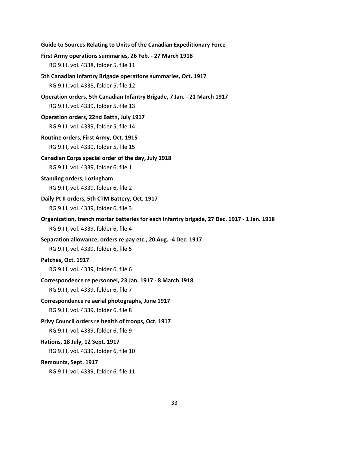RG 9.III, vol. 4339, folder 6, file 11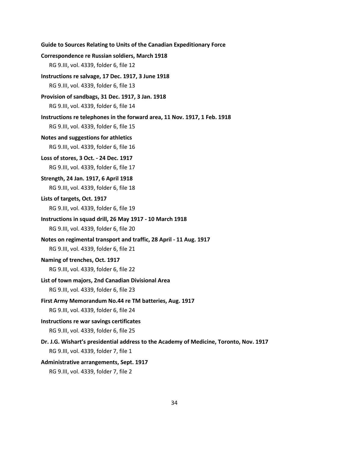# **Guide to Sources Relating to Units of the Canadian Expeditionary Force Correspondence re Russian soldiers, March 1918** RG 9.III, vol. 4339, folder 6, file 12 **Instructions re salvage, 17 Dec. 1917, 3 June 1918** RG 9.III, vol. 4339, folder 6, file 13 **Provision of sandbags, 31 Dec. 1917, 3 Jan. 1918** RG 9.III, vol. 4339, folder 6, file 14 **Instructions re telephones in the forward area, 11 Nov. 1917, 1 Feb. 1918** RG 9.III, vol. 4339, folder 6, file 15 **Notes and suggestions for athletics** RG 9.III, vol. 4339, folder 6, file 16 **Loss of stores, 3 Oct. - 24 Dec. 1917** RG 9.III, vol. 4339, folder 6, file 17 **Strength, 24 Jan. 1917, 6 April 1918** RG 9.III, vol. 4339, folder 6, file 18 **Lists of targets, Oct. 1917** RG 9.III, vol. 4339, folder 6, file 19 **Instructions in squad drill, 26 May 1917 - 10 March 1918** RG 9.III, vol. 4339, folder 6, file 20 **Notes on regimental transport and traffic, 28 April - 11 Aug. 1917** RG 9.III, vol. 4339, folder 6, file 21 **Naming of trenches, Oct. 1917** RG 9.III, vol. 4339, folder 6, file 22 **List of town majors, 2nd Canadian Divisional Area** RG 9.III, vol. 4339, folder 6, file 23 **First Army Memorandum No.44 re TM batteries, Aug. 1917** RG 9.III, vol. 4339, folder 6, file 24 **Instructions re war savings certificates** RG 9.III, vol. 4339, folder 6, file 25 **Dr. J.G. Wishart's presidential address to the Academy of Medicine, Toronto, Nov. 1917** RG 9.III, vol. 4339, folder 7, file 1 **Administrative arrangements, Sept. 1917** RG 9.III, vol. 4339, folder 7, file 2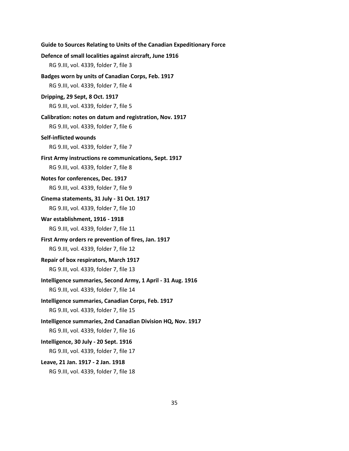```
Guide to Sources Relating to Units of the Canadian Expeditionary Force
Defence of small localities against aircraft, June 1916
   RG 9.III, vol. 4339, folder 7, file 3
Badges worn by units of Canadian Corps, Feb. 1917
   RG 9.III, vol. 4339, folder 7, file 4
Dripping, 29 Sept, 8 Oct. 1917
   RG 9.III, vol. 4339, folder 7, file 5
Calibration: notes on datum and registration, Nov. 1917
   RG 9.III, vol. 4339, folder 7, file 6
Self-inflicted wounds
   RG 9.III, vol. 4339, folder 7, file 7
First Army instructions re communications, Sept. 1917
   RG 9.III, vol. 4339, folder 7, file 8
Notes for conferences, Dec. 1917
   RG 9.III, vol. 4339, folder 7, file 9
Cinema statements, 31 July - 31 Oct. 1917
   RG 9.III, vol. 4339, folder 7, file 10
War establishment, 1916 - 1918
   RG 9.III, vol. 4339, folder 7, file 11
First Army orders re prevention of fires, Jan. 1917
   RG 9.III, vol. 4339, folder 7, file 12
Repair of box respirators, March 1917
   RG 9.III, vol. 4339, folder 7, file 13
Intelligence summaries, Second Army, 1 April - 31 Aug. 1916
   RG 9.III, vol. 4339, folder 7, file 14
Intelligence summaries, Canadian Corps, Feb. 1917
   RG 9.III, vol. 4339, folder 7, file 15
Intelligence summaries, 2nd Canadian Division HQ, Nov. 1917
   RG 9.III, vol. 4339, folder 7, file 16
Intelligence, 30 July - 20 Sept. 1916
   RG 9.III, vol. 4339, folder 7, file 17
Leave, 21 Jan. 1917 - 2 Jan. 1918
   RG 9.III, vol. 4339, folder 7, file 18
```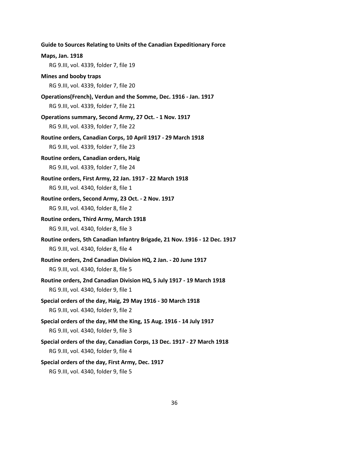**Guide to Sources Relating to Units of the Canadian Expeditionary Force Maps, Jan. 1918** RG 9.III, vol. 4339, folder 7, file 19 **Mines and booby traps** RG 9.III, vol. 4339, folder 7, file 20 **Operations(French), Verdun and the Somme, Dec. 1916 - Jan. 1917** RG 9.III, vol. 4339, folder 7, file 21 **Operations summary, Second Army, 27 Oct. - 1 Nov. 1917** RG 9.III, vol. 4339, folder 7, file 22 **Routine orders, Canadian Corps, 10 April 1917 - 29 March 1918** RG 9.III, vol. 4339, folder 7, file 23 **Routine orders, Canadian orders, Haig** RG 9.III, vol. 4339, folder 7, file 24 **Routine orders, First Army, 22 Jan. 1917 - 22 March 1918** RG 9.III, vol. 4340, folder 8, file 1 **Routine orders, Second Army, 23 Oct. - 2 Nov. 1917** RG 9.III, vol. 4340, folder 8, file 2 **Routine orders, Third Army, March 1918** RG 9.III, vol. 4340, folder 8, file 3 **Routine orders, 5th Canadian Infantry Brigade, 21 Nov. 1916 - 12 Dec. 1917** RG 9.III, vol. 4340, folder 8, file 4 **Routine orders, 2nd Canadian Division HQ, 2 Jan. - 20 June 1917** RG 9.III, vol. 4340, folder 8, file 5 **Routine orders, 2nd Canadian Division HQ, 5 July 1917 - 19 March 1918** RG 9.III, vol. 4340, folder 9, file 1 **Special orders of the day, Haig, 29 May 1916 - 30 March 1918** RG 9.III, vol. 4340, folder 9, file 2 **Special orders of the day, HM the King, 15 Aug. 1916 - 14 July 1917** RG 9.III, vol. 4340, folder 9, file 3 **Special orders of the day, Canadian Corps, 13 Dec. 1917 - 27 March 1918** RG 9.III, vol. 4340, folder 9, file 4 **Special orders of the day, First Army, Dec. 1917** RG 9.III, vol. 4340, folder 9, file 5

36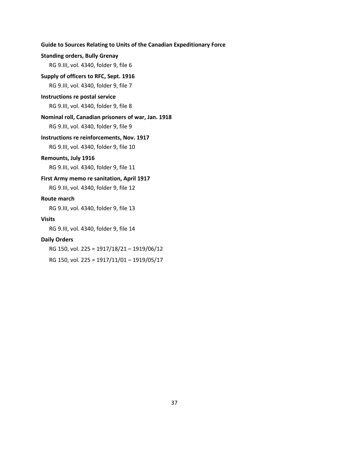# **Standing orders, Bully Grenay**

RG 9.III, vol. 4340, folder 9, file 6

#### **Supply of officers to RFC, Sept. 1916**

RG 9.III, vol. 4340, folder 9, file 7

#### **Instructions re postal service**

RG 9.III, vol. 4340, folder 9, file 8

#### **Nominal roll, Canadian prisoners of war, Jan. 1918**

RG 9.III, vol. 4340, folder 9, file 9

# **Instructions re reinforcements, Nov. 1917**

RG 9.III, vol. 4340, folder 9, file 10

### **Remounts, July 1916**

RG 9.III, vol. 4340, folder 9, file 11

#### **First Army memo re sanitation, April 1917**

RG 9.III, vol. 4340, folder 9, file 12

#### **Route march**

RG 9.III, vol. 4340, folder 9, file 13

## **Visits**

RG 9.III, vol. 4340, folder 9, file 14

#### **Daily Orders**

RG 150, vol. 225 = 1917/18/21 – 1919/06/12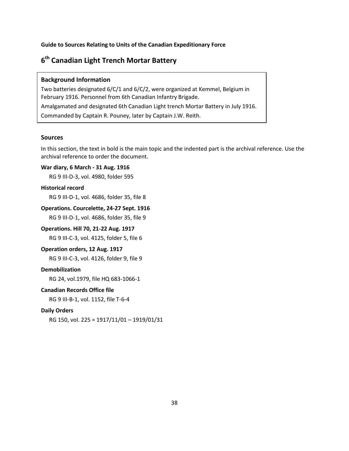# <span id="page-39-0"></span>**6th Canadian Light Trench Mortar Battery**

### **Background Information**

Two batteries designated 6/C/1 and 6/C/2, were organized at Kemmel, Belgium in February 1916. Personnel from 6th Canadian Infantry Brigade. Amalgamated and designated 6th Canadian Light trench Mortar Battery in July 1916. Commanded by Captain R. Pouney, later by Captain J.W. Reith.

# **Sources**

In this section, the text in bold is the main topic and the indented part is the archival reference. Use the archival reference to order the document.

# **War diary, 6 March - 31 Aug. 1916**

RG 9 III-D-3, vol. 4980, folder 595

#### **Historical record**

RG 9 III-D-1, vol. 4686, folder 35, file 8

# **Operations. Courcelette, 24-27 Sept. 1916**

RG 9 III-D-1, vol. 4686, folder 35, file 9

### **Operations. Hill 70, 21-22 Aug. 1917**

RG 9 III-C-3, vol. 4125, folder 5, file 6

#### **Operation orders, 12 Aug. 1917**

RG 9 III-C-3, vol. 4126, folder 9, file 9

# **Demobilization**

RG 24, vol.1979, file HQ 683-1066-1

#### **Canadian Records Office file**

RG 9 III-B-1, vol. 1152, file T-6-4

#### **Daily Orders**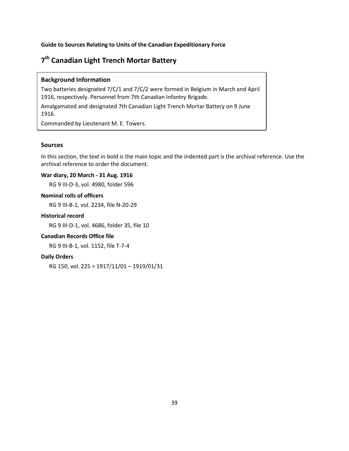# <span id="page-40-0"></span>**7th Canadian Light Trench Mortar Battery**

# **Background Information**

Two batteries designated 7/C/1 and 7/C/2 were formed in Belgium in March and April 1916, respectively. Personnel from 7th Canadian Infantry Brigade.

Amalgamated and designated 7th Canadian Light Trench Mortar Battery on 9 June 1916.

Commanded by Lieutenant M. E. Towers.

#### **Sources**

In this section, the text in bold is the main topic and the indented part is the archival reference. Use the archival reference to order the document.

# **War diary, 20 March - 31 Aug. 1916**

RG 9 III-D-3, vol. 4980, folder 596

# **Nominal rolls of officers**

RG 9 III-B-1, vol. 2234, file N-20-29

#### **Historical record**

RG 9 III-D-1, vol. 4686, folder 35, file 10

### **Canadian Records Office file**

RG 9 III-B-1, vol. 1152, file T-7-4

# **Daily Orders**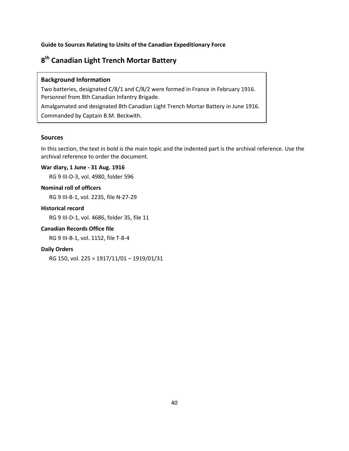# <span id="page-41-0"></span>**8th Canadian Light Trench Mortar Battery**

# **Background Information**

Two batteries, designated C/8/1 and C/8/2 were formed in France in February 1916. Personnel from 8th Canadian Infantry Brigade. Amalgamated and designated 8th Canadian Light Trench Mortar Battery in June 1916.

Commanded by Captain B.M. Beckwith.

# **Sources**

In this section, the text in bold is the main topic and the indented part is the archival reference. Use the archival reference to order the document.

# **War diary, 1 June - 31 Aug. 1916**

RG 9 III-D-3, vol. 4980, folder 596

### **Nominal roll of officers**

RG 9 III-B-1, vol. 2235, file N-27-29

# **Historical record**

RG 9 III-D-1, vol. 4686, folder 35, file 11

# **Canadian Records Office file**

RG 9 III-B-1, vol. 1152, file T-8-4

### **Daily Orders**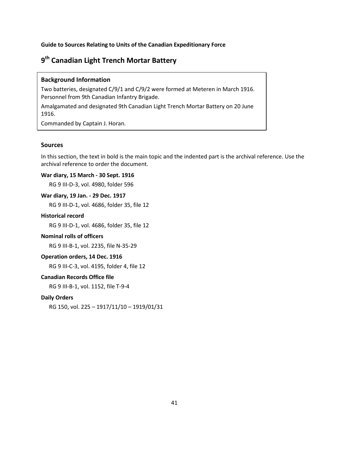# <span id="page-42-0"></span>**9th Canadian Light Trench Mortar Battery**

### **Background Information**

Two batteries, designated C/9/1 and C/9/2 were formed at Meteren in March 1916. Personnel from 9th Canadian Infantry Brigade.

Amalgamated and designated 9th Canadian Light Trench Mortar Battery on 20 June 1916.

Commanded by Captain J. Horan.

#### **Sources**

In this section, the text in bold is the main topic and the indented part is the archival reference. Use the archival reference to order the document.

### **War diary, 15 March - 30 Sept. 1916**

RG 9 III-D-3, vol. 4980, folder 596

# **War diary, 19 Jan. - 29 Dec. 1917**

RG 9 III-D-1, vol. 4686, folder 35, file 12

#### **Historical record**

RG 9 III-D-1, vol. 4686, folder 35, file 12

#### **Nominal rolls of officers**

RG 9 III-B-1, vol. 2235, file N-35-29

# **Operation orders, 14 Dec. 1916**

RG 9 III-C-3, vol. 4195, folder 4, file 12

#### **Canadian Records Office file**

RG 9 III-B-1, vol. 1152, file T-9-4

#### **Daily Orders**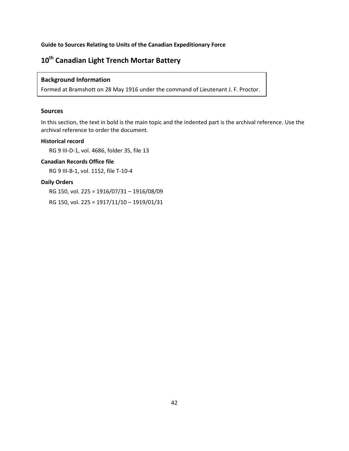# <span id="page-43-0"></span>**10th Canadian Light Trench Mortar Battery**

# **Background Information**

Formed at Bramshott on 28 May 1916 under the command of Lieutenant J. F. Proctor.

# **Sources**

In this section, the text in bold is the main topic and the indented part is the archival reference. Use the archival reference to order the document.

### **Historical record**

RG 9 III-D-1, vol. 4686, folder 35, file 13

# **Canadian Records Office file**

RG 9 III-B-1, vol. 1152, file T-10-4

# **Daily Orders**

RG 150, vol. 225 = 1916/07/31 – 1916/08/09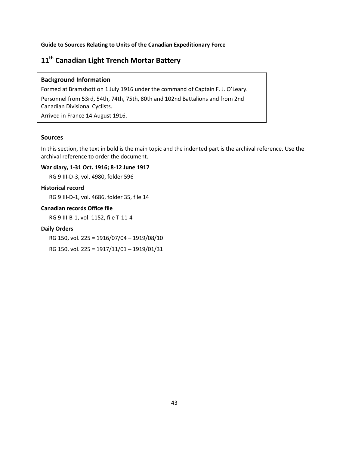# <span id="page-44-0"></span>**11th Canadian Light Trench Mortar Battery**

### **Background Information**

Formed at Bramshott on 1 July 1916 under the command of Captain F. J. O'Leary. Personnel from 53rd, 54th, 74th, 75th, 80th and 102nd Battalions and from 2nd Canadian Divisional Cyclists.

Arrived in France 14 August 1916.

# **Sources**

In this section, the text in bold is the main topic and the indented part is the archival reference. Use the archival reference to order the document.

# **War diary, 1-31 Oct. 1916; 8-12 June 1917**

RG 9 III-D-3, vol. 4980, folder 596

### **Historical record**

RG 9 III-D-1, vol. 4686, folder 35, file 14

# **Canadian records Office file**

RG 9 III-B-1, vol. 1152, file T-11-4

# **Daily Orders**

RG 150, vol. 225 = 1916/07/04 – 1919/08/10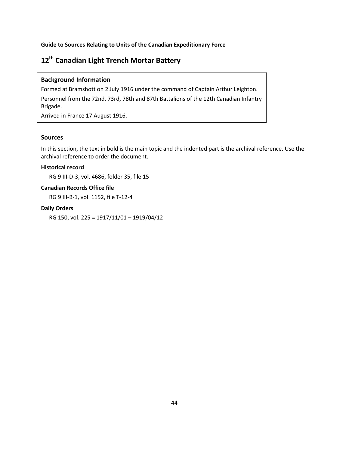# <span id="page-45-0"></span>**12th Canadian Light Trench Mortar Battery**

# **Background Information**

Formed at Bramshott on 2 July 1916 under the command of Captain Arthur Leighton. Personnel from the 72nd, 73rd, 78th and 87th Battalions of the 12th Canadian Infantry Brigade.

Arrived in France 17 August 1916.

# **Sources**

In this section, the text in bold is the main topic and the indented part is the archival reference. Use the archival reference to order the document.

# **Historical record**

RG 9 III-D-3, vol. 4686, folder 35, file 15

# **Canadian Records Office file**

RG 9 III-B-1, vol. 1152, file T-12-4

### **Daily Orders**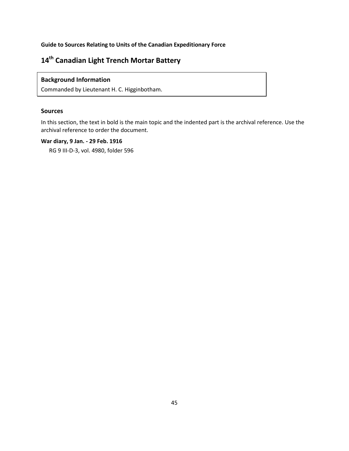# <span id="page-46-0"></span>**14th Canadian Light Trench Mortar Battery**

# **Background Information**

Commanded by Lieutenant H. C. Higginbotham.

# **Sources**

In this section, the text in bold is the main topic and the indented part is the archival reference. Use the archival reference to order the document.

# **War diary, 9 Jan. - 29 Feb. 1916**

RG 9 III-D-3, vol. 4980, folder 596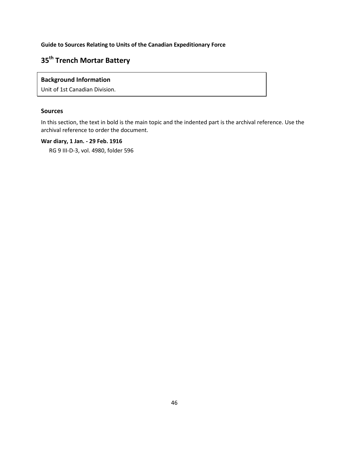# <span id="page-47-0"></span>**35th Trench Mortar Battery**

# **Background Information**

Unit of 1st Canadian Division.

# **Sources**

In this section, the text in bold is the main topic and the indented part is the archival reference. Use the archival reference to order the document.

# **War diary, 1 Jan. - 29 Feb. 1916**

RG 9 III-D-3, vol. 4980, folder 596